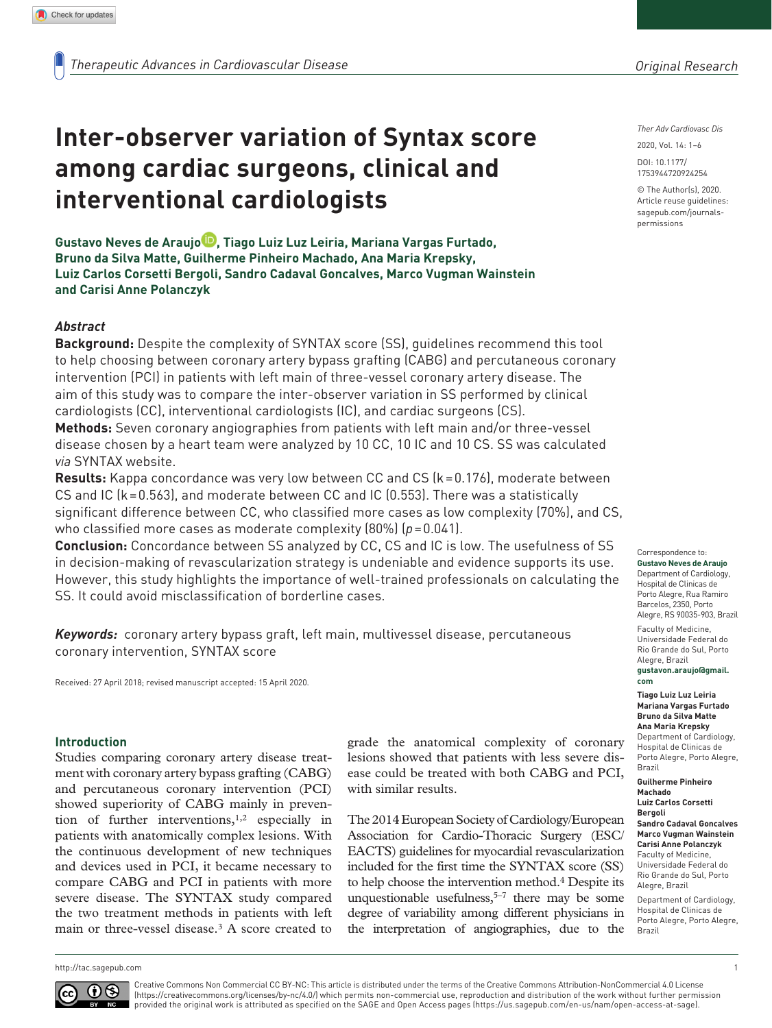# **Inter-observer variation of Syntax score among cardiac surgeons, clinical and interventional cardiologists**

**Gustavo Neves de Araujo , Tiago Luiz Luz Leiria, Mariana Vargas Furtado, Bruno da Silva Matte, Guilherme Pinheiro Machado, Ana Maria Krepsky, Luiz Carlos Corsetti Bergoli, Sandro Cadaval Goncalves, Marco Vugman Wainstein and Carisi Anne Polanczyk**

# *Abstract*

**Background:** Despite the complexity of SYNTAX score (SS), guidelines recommend this tool to help choosing between coronary artery bypass grafting (CABG) and percutaneous coronary intervention (PCI) in patients with left main of three-vessel coronary artery disease. The aim of this study was to compare the inter-observer variation in SS performed by clinical cardiologists (CC), interventional cardiologists (IC), and cardiac surgeons (CS).

**Methods:** Seven coronary angiographies from patients with left main and/or three-vessel disease chosen by a heart team were analyzed by 10 CC, 10 IC and 10 CS. SS was calculated *via* SYNTAX website.

**Results:** Kappa concordance was very low between CC and CS (k=0.176), moderate between CS and IC (k=0.563), and moderate between CC and IC (0.553). There was a statistically significant difference between CC, who classified more cases as low complexity (70%), and CS, who classified more cases as moderate complexity (80%) (*p*=0.041).

**Conclusion:** Concordance between SS analyzed by CC, CS and IC is low. The usefulness of SS in decision-making of revascularization strategy is undeniable and evidence supports its use. However, this study highlights the importance of well-trained professionals on calculating the SS. It could avoid misclassification of borderline cases.

*Keywords:* coronary artery bypass graft, left main, multivessel disease, percutaneous coronary intervention, SYNTAX score

Received: 27 April 2018; revised manuscript accepted: 15 April 2020.

#### **Introduction**

Studies comparing coronary artery disease treatment with coronary artery bypass grafting (CABG) and percutaneous coronary intervention (PCI) showed superiority of CABG mainly in prevention of further interventions,1,2 especially in patients with anatomically complex lesions. With the continuous development of new techniques and devices used in PCI, it became necessary to compare CABG and PCI in patients with more severe disease. The SYNTAX study compared the two treatment methods in patients with left main or three-vessel disease.3 A score created to

grade the anatomical complexity of coronary lesions showed that patients with less severe disease could be treated with both CABG and PCI, with similar results.

The 2014 European Society of Cardiology/European Association for Cardio-Thoracic Surgery (ESC/ EACTS) guidelines for myocardial revascularization included for the first time the SYNTAX score (SS) to help choose the intervention method.4 Despite its unquestionable usefulness, $5-7$  there may be some degree of variability among different physicians in the interpretation of angiographies, due to the

*Ther Adv Cardiovasc Dis*

DOI: 10.1177/ 2020, Vol. 14: 1–6

© The Author(s), 2020. Article reuse guidelines: [sagepub.com/journals](https://uk.sagepub.com/en-gb/journals-permissions)[permissions](https://uk.sagepub.com/en-gb/journals-permissions)

https://doi.org/10.1177/1753944720924254 1753944720924254

Correspondence to: **Gustavo Neves de Araujo** Department of Cardiology, Hospital de Clinicas de Porto Alegre, Rua Ramiro Barcelos, 2350, Porto Alegre, RS 90035-903, Brazil Faculty of Medicine, Universidade Federal do Rio Grande do Sul, Porto Alegre, Brazil **gustavon.araujo@gmail.**

**com Tiago Luiz Luz Leiria Mariana Vargas Furtado Bruno da Silva Matte Ana Maria Krepsky** Department of Cardiology, Hospital de Clinicas de

Porto Alegre, Porto Alegre, Brazil **Guilherme Pinheiro** 

**Machado Luiz Carlos Corsetti** 

**Bergoli Sandro Cadaval Goncalves Marco Vugman Wainstein Carisi Anne Polanczyk** Faculty of Medicine, Universidade Federal do Rio Grande do Sul, Porto Alegre, Brazil

Department of Cardiology, Hospital de Clinicas de Porto Alegre, Porto Alegre, Brazil

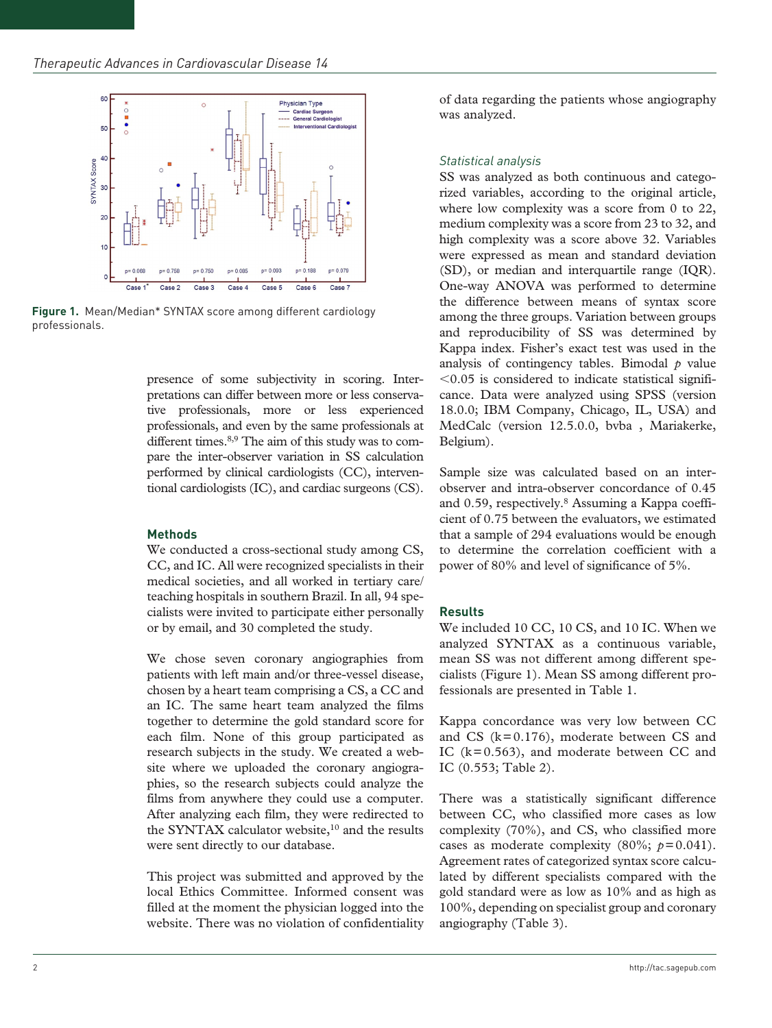

**Figure 1.** Mean/Median\* SYNTAX score among different cardiology professionals.

presence of some subjectivity in scoring. Interpretations can differ between more or less conservative professionals, more or less experienced professionals, and even by the same professionals at different times.<sup>8,9</sup> The aim of this study was to compare the inter-observer variation in SS calculation performed by clinical cardiologists (CC), interventional cardiologists (IC), and cardiac surgeons (CS).

#### **Methods**

We conducted a cross-sectional study among CS, CC, and IC. All were recognized specialists in their medical societies, and all worked in tertiary care/ teaching hospitals in southern Brazil. In all, 94 specialists were invited to participate either personally or by email, and 30 completed the study.

We chose seven coronary angiographies from patients with left main and/or three-vessel disease, chosen by a heart team comprising a CS, a CC and an IC. The same heart team analyzed the films together to determine the gold standard score for each film. None of this group participated as research subjects in the study. We created a website where we uploaded the coronary angiographies, so the research subjects could analyze the films from anywhere they could use a computer. After analyzing each film, they were redirected to the SYNTAX calculator website,<sup>10</sup> and the results were sent directly to our database.

This project was submitted and approved by the local Ethics Committee. Informed consent was filled at the moment the physician logged into the website. There was no violation of confidentiality of data regarding the patients whose angiography was analyzed.

### *Statistical analysis*

SS was analyzed as both continuous and categorized variables, according to the original article, where low complexity was a score from 0 to 22, medium complexity was a score from 23 to 32, and high complexity was a score above 32. Variables were expressed as mean and standard deviation (SD), or median and interquartile range (IQR). One-way ANOVA was performed to determine the difference between means of syntax score among the three groups. Variation between groups and reproducibility of SS was determined by Kappa index. Fisher's exact test was used in the analysis of contingency tables. Bimodal  $p$  value  $<$ 0.05 is considered to indicate statistical significance. Data were analyzed using SPSS (version 18.0.0; IBM Company, Chicago, IL, USA) and MedCalc (version 12.5.0.0, bvba , Mariakerke, Belgium).

Sample size was calculated based on an interobserver and intra-observer concordance of 0.45 and 0.59, respectively.8 Assuming a Kappa coefficient of 0.75 between the evaluators, we estimated that a sample of 294 evaluations would be enough to determine the correlation coefficient with a power of 80% and level of significance of 5%.

# **Results**

We included 10 CC, 10 CS, and 10 IC. When we analyzed SYNTAX as a continuous variable, mean SS was not different among different specialists (Figure 1). Mean SS among different professionals are presented in Table 1.

Kappa concordance was very low between CC and CS (k=0.176), moderate between CS and IC  $(k=0.563)$ , and moderate between CC and IC (0.553; Table 2).

There was a statistically significant difference between CC, who classified more cases as low complexity (70%), and CS, who classified more cases as moderate complexity  $(80\%; p=0.041)$ . Agreement rates of categorized syntax score calculated by different specialists compared with the gold standard were as low as 10% and as high as 100%, depending on specialist group and coronary angiography (Table 3).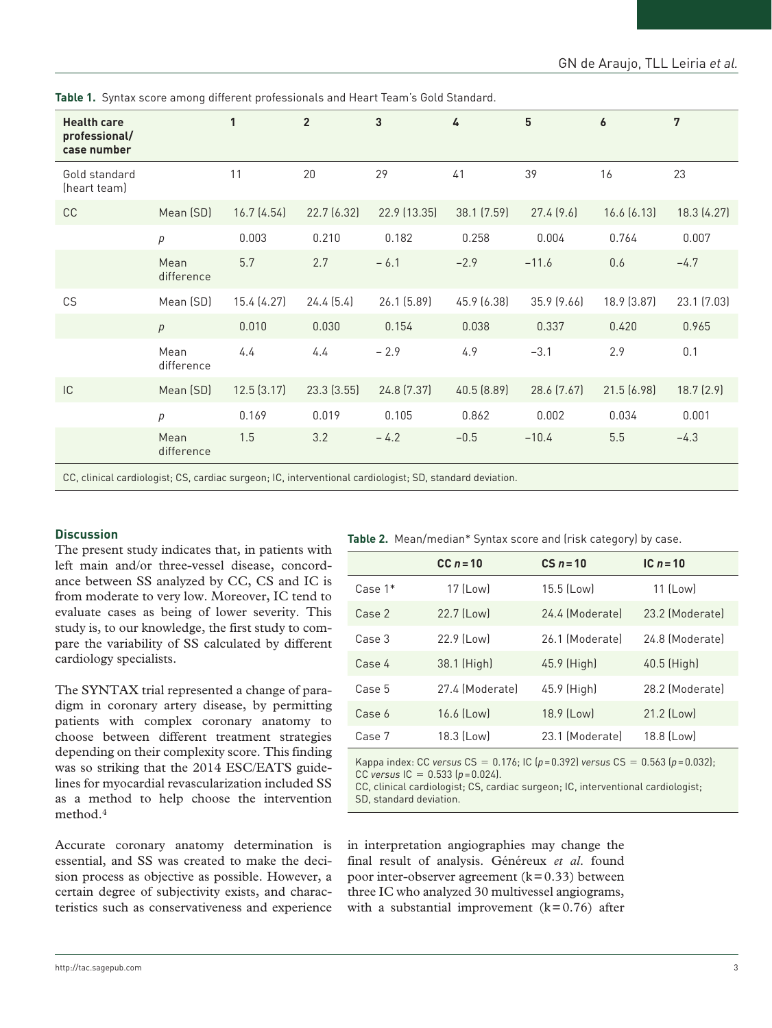|  |  | <b>Table 1.</b> Syntax score among different professionals and Heart Team's Gold Standard. |
|--|--|--------------------------------------------------------------------------------------------|
|  |  |                                                                                            |

| <b>Health care</b><br>professional/<br>case number |                                                                                                    | 1           | $\overline{2}$ | 3            | 4           | $5\phantom{.0}$ | 6           | 7           |
|----------------------------------------------------|----------------------------------------------------------------------------------------------------|-------------|----------------|--------------|-------------|-----------------|-------------|-------------|
| Gold standard<br>(heart team)                      |                                                                                                    | 11          | 20             | 29           | 41          | 39              | 16          | 23          |
| CC                                                 | Mean (SD)                                                                                          | 16.7(4.54)  | 22.7 (6.32)    | 22.9 (13.35) | 38.1 (7.59) | 27.4(9.6)       | 16.6(6.13)  | 18.3 (4.27) |
|                                                    | р                                                                                                  | 0.003       | 0.210          | 0.182        | 0.258       | 0.004           | 0.764       | 0.007       |
|                                                    | Mean<br>difference                                                                                 | 5.7         | 2.7            | $-6.1$       | $-2.9$      | $-11.6$         | 0.6         | $-4.7$      |
| CS                                                 | Mean (SD)                                                                                          | 15.4 (4.27) | 24.4(5.4)      | 26.1 (5.89)  | 45.9 (6.38) | 35.9 (9.66)     | 18.9 (3.87) | 23.1 (7.03) |
|                                                    | p                                                                                                  | 0.010       | 0.030          | 0.154        | 0.038       | 0.337           | 0.420       | 0.965       |
|                                                    | Mean<br>difference                                                                                 | 4.4         | 4.4            | $-2.9$       | 4.9         | $-3.1$          | 2.9         | 0.1         |
| IC                                                 | Mean (SD)                                                                                          | 12.5(3.17)  | 23.3(3.55)     | 24.8 (7.37)  | 40.5 (8.89) | 28.6 (7.67)     | 21.5 (6.98) | 18.7(2.9)   |
|                                                    | $\overline{p}$                                                                                     | 0.169       | 0.019          | 0.105        | 0.862       | 0.002           | 0.034       | 0.001       |
|                                                    | Mean<br>difference                                                                                 | 1.5         | 3.2            | $-4.2$       | $-0.5$      | $-10.4$         | 5.5         | $-4.3$      |
|                                                    | CC elimized condictoriat CC condictoruments IC intemperational condictoriat CD storehood deviation |             |                |              |             |                 |             |             |

CC, clinical cardiologist; CS, cardiac surgeon; IC, interventional cardiologist; SD, standard deviation.

#### **Discussion**

The present study indicates that, in patients with left main and/or three-vessel disease, concordance between SS analyzed by CC, CS and IC is from moderate to very low. Moreover, IC tend to evaluate cases as being of lower severity. This study is, to our knowledge, the first study to compare the variability of SS calculated by different cardiology specialists.

The SYNTAX trial represented a change of paradigm in coronary artery disease, by permitting patients with complex coronary anatomy to choose between different treatment strategies depending on their complexity score. This finding was so striking that the 2014 ESC/EATS guidelines for myocardial revascularization included SS as a method to help choose the intervention method.4

Accurate coronary anatomy determination is essential, and SS was created to make the decision process as objective as possible. However, a certain degree of subjectivity exists, and characteristics such as conservativeness and experience

|  | Table 2. Mean/median* Syntax score and (risk category) by case. |  |  |  |  |
|--|-----------------------------------------------------------------|--|--|--|--|
|--|-----------------------------------------------------------------|--|--|--|--|

|           | $CC n = 10$     | $CS n = 10$     | IC $n = 10$     |
|-----------|-----------------|-----------------|-----------------|
| Case $1*$ | 17 (Low)        | 15.5 (Low)      | 11 (Low)        |
| Case 2    | 22.7 (Low)      | 24.4 (Moderate) | 23.2 (Moderate) |
| Case 3    | 22.9 (Low)      | 26.1 (Moderate) | 24.8 (Moderate) |
| Case 4    | 38.1 (High)     | 45.9 (High)     | 40.5 (High)     |
| Case 5    | 27.4 (Moderate) | 45.9 (High)     | 28.2 (Moderate) |
| Case 6    | 16.6 (Low)      | 18.9 (Low)      | 21.2 (Low)      |
| Case 7    | 18.3 (Low)      | 23.1 (Moderate) | 18.8 (Low)      |

Kappa index: CC *versus* CS = 0.176; IC (*p*=0.392) *versus* CS = 0.563 (*p*=0.032); CC *versus*  $|C = 0.533 (p = 0.024)$ .

CC, clinical cardiologist; CS, cardiac surgeon; IC, interventional cardiologist; SD, standard deviation.

in interpretation angiographies may change the final result of analysis. Généreux *et al*. found poor inter-observer agreement  $(k=0.33)$  between three IC who analyzed 30 multivessel angiograms, with a substantial improvement  $(k=0.76)$  after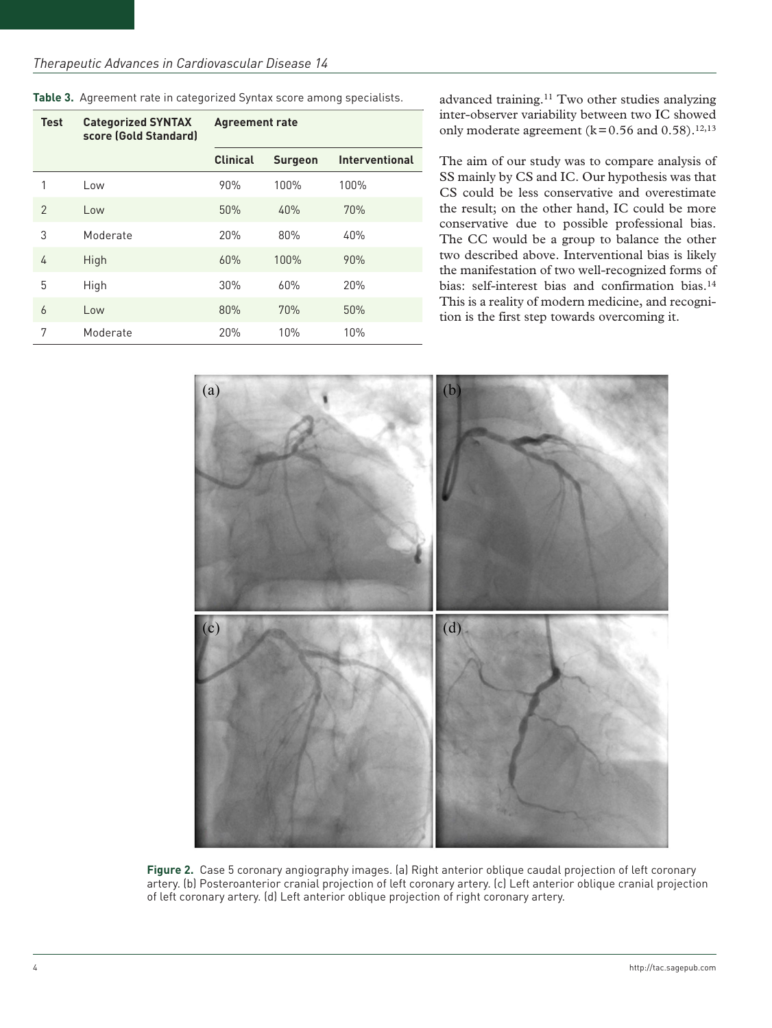| <b>Test</b>    | <b>Categorized SYNTAX</b><br>score (Gold Standard) | <b>Agreement rate</b> |                |                       |  |
|----------------|----------------------------------------------------|-----------------------|----------------|-----------------------|--|
|                |                                                    | <b>Clinical</b>       | <b>Surgeon</b> | <b>Interventional</b> |  |
| 1              | Low                                                | 90%                   | 100%           | 100%                  |  |
| $\overline{2}$ | Low                                                | 50%                   | 40%            | 70%                   |  |
| 3              | Moderate                                           | 20%                   | 80%            | 40%                   |  |
| 4              | High                                               | 60%                   | 100%           | 90%                   |  |
| 5              | High                                               | 30%                   | 60%            | 20%                   |  |
| 6              | Low                                                | 80%                   | 70%            | 50%                   |  |
| 7              | Moderate                                           | 20%                   | 10%            | 10%                   |  |

**Table 3.** Agreement rate in categorized Syntax score among specialists.

advanced training.11 Two other studies analyzing inter-observer variability between two IC showed only moderate agreement ( $k=0.56$  and  $0.58$ ).<sup>12,13</sup>

The aim of our study was to compare analysis of SS mainly by CS and IC. Our hypothesis was that CS could be less conservative and overestimate the result; on the other hand, IC could be more conservative due to possible professional bias. The CC would be a group to balance the other two described above. Interventional bias is likely the manifestation of two well-recognized forms of bias: self-interest bias and confirmation bias.<sup>14</sup> This is a reality of modern medicine, and recognition is the first step towards overcoming it.



**Figure 2.** Case 5 coronary angiography images. (a) Right anterior oblique caudal projection of left coronary artery. (b) Posteroanterior cranial projection of left coronary artery. (c) Left anterior oblique cranial projection of left coronary artery. (d) Left anterior oblique projection of right coronary artery.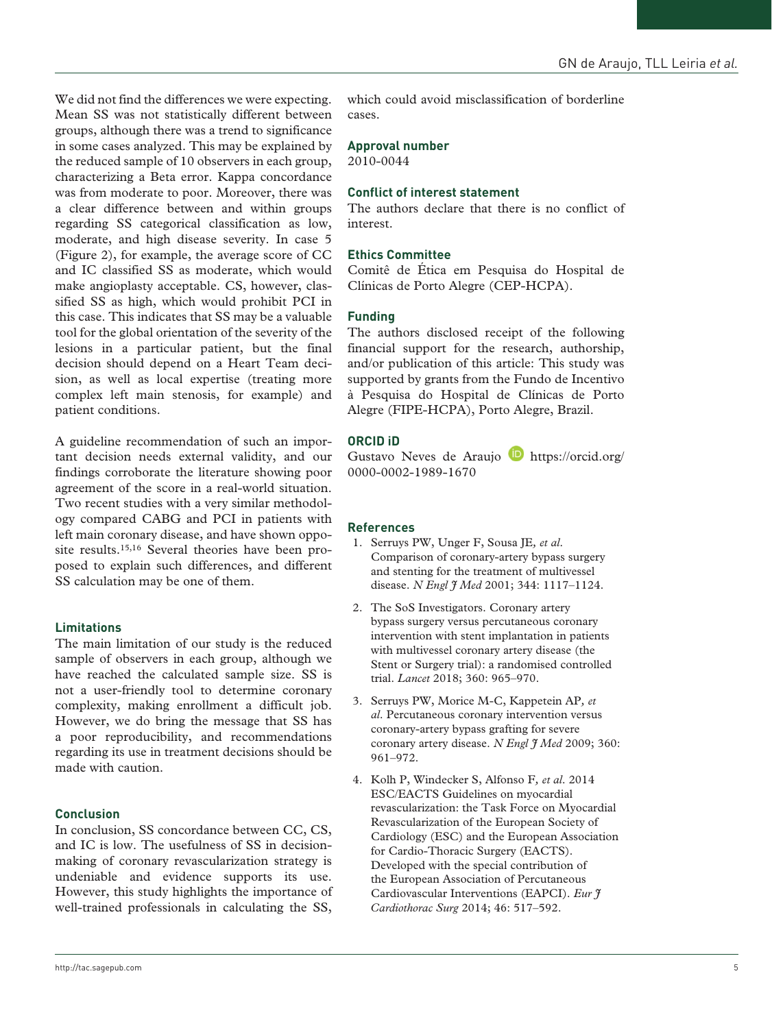We did not find the differences we were expecting. Mean SS was not statistically different between groups, although there was a trend to significance in some cases analyzed. This may be explained by the reduced sample of 10 observers in each group, characterizing a Beta error. Kappa concordance was from moderate to poor. Moreover, there was a clear difference between and within groups regarding SS categorical classification as low, moderate, and high disease severity. In case 5 (Figure 2), for example, the average score of CC and IC classified SS as moderate, which would make angioplasty acceptable. CS, however, classified SS as high, which would prohibit PCI in this case. This indicates that SS may be a valuable tool for the global orientation of the severity of the lesions in a particular patient, but the final decision should depend on a Heart Team decision, as well as local expertise (treating more complex left main stenosis, for example) and patient conditions.

A guideline recommendation of such an important decision needs external validity, and our findings corroborate the literature showing poor agreement of the score in a real-world situation. Two recent studies with a very similar methodology compared CABG and PCI in patients with left main coronary disease, and have shown opposite results.<sup>15,16</sup> Several theories have been proposed to explain such differences, and different SS calculation may be one of them.

### **Limitations**

The main limitation of our study is the reduced sample of observers in each group, although we have reached the calculated sample size. SS is not a user-friendly tool to determine coronary complexity, making enrollment a difficult job. However, we do bring the message that SS has a poor reproducibility, and recommendations regarding its use in treatment decisions should be made with caution.

#### **Conclusion**

In conclusion, SS concordance between CC, CS, and IC is low. The usefulness of SS in decisionmaking of coronary revascularization strategy is undeniable and evidence supports its use. However, this study highlights the importance of well-trained professionals in calculating the SS, which could avoid misclassification of borderline cases.

# **Approval number**

2010-0044

## **Conflict of interest statement**

The authors declare that there is no conflict of interest.

### **Ethics Committee**

Comitê de Ética em Pesquisa do Hospital de Clínicas de Porto Alegre (CEP-HCPA).

## **Funding**

The authors disclosed receipt of the following financial support for the research, authorship, and/or publication of this article: This study was supported by grants from the Fundo de Incentivo à Pesquisa do Hospital de Clínicas de Porto Alegre (FIPE-HCPA), Porto Alegre, Brazil.

## **ORCID iD**

Gustavo Neves de Araujo **D** [https://orcid.org/](https://orcid.org/0000-0002-1989-1670) [0000-0002-1989-1670](https://orcid.org/0000-0002-1989-1670)

#### **References**

- 1. Serruys PW, Unger F, Sousa JE*, et al*. Comparison of coronary-artery bypass surgery and stenting for the treatment of multivessel disease. *N Engl J Med* 2001; 344: 1117–1124.
- 2. The SoS Investigators. Coronary artery bypass surgery versus percutaneous coronary intervention with stent implantation in patients with multivessel coronary artery disease (the Stent or Surgery trial): a randomised controlled trial. *Lancet* 2018; 360: 965–970.
- 3. Serruys PW, Morice M-C, Kappetein AP*, et al*. Percutaneous coronary intervention versus coronary-artery bypass grafting for severe coronary artery disease. *N Engl J Med* 2009; 360: 961–972.
- 4. Kolh P, Windecker S, Alfonso F*, et al*. 2014 ESC/EACTS Guidelines on myocardial revascularization: the Task Force on Myocardial Revascularization of the European Society of Cardiology (ESC) and the European Association for Cardio-Thoracic Surgery (EACTS). Developed with the special contribution of the European Association of Percutaneous Cardiovascular Interventions (EAPCI). *Eur J Cardiothorac Surg* 2014; 46: 517–592.